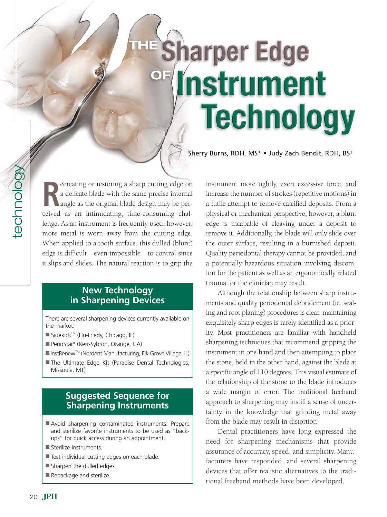# **Sharper Edge Instrument Technology**

Sherry Burns, RDH, MS\* • Judy Zach Bendit, RDH, BS†

**R** ceived as an intimidating, time-consuming chalecreating or restoring a sharp cutting edge on a delicate blade with the same precise internal angle as the original blade design may be perlenge. As an instrument is frequently used, however, more metal is worn away from the cutting edge. When applied to a tooth surface, this dulled (blunt) edge is difficult—even impossible—to control since it slips and slides. The natural reaction is to grip the

#### **New Technology in Sharpening Devices**

There are several sharpening devices currently available on the market:

- Sidekick™ (Hu-Friedy, Chicago, IL)
- PerioStar® (Kerr-Sybron, Orange, CA)
- InstRenew™ (Nordent Manufacturing, Elk Grove Village, IL)
- The Ultimate Edge Kit (Paradise Dental Technologies, Missoula, MT)

### **Suggested Sequence for Sharpening Instruments**

- Avoid sharpening contaminated instruments. Prepare and sterilize favorite instruments to be used as "backups" for quick access during an appointment.
- Sterilize instruments.
- Test individual cutting edges on each blade.
- Sharpen the dulled edges.
- Repackage and sterilize.

instrument more tightly, exert excessive force, and increase the number of strokes (repetitive motions) in a futile attempt to remove calcified deposits. From a physical or mechanical perspective, however, a blunt edge is incapable of cleaving under a deposit to remove it. Additionally, the blade will only slide over the outer surface, resulting in a burnished deposit. Quality periodontal therapy cannot be provided, and a potentially hazardous situation involving discomfort for the patient as well as an ergonomically related trauma for the clinician may result.

Although the relationship between sharp instruments and quality periodontal debridement (ie, scaling and root planing) procedures is clear, maintaining exquisitely sharp edges is rarely identified as a priority. Most practitioners are familiar with handheld sharpening techniques that recommend gripping the instrument in one hand and then attempting to place the stone, held in the other hand, against the blade at a specific angle of 110 degrees. This visual estimate of the relationship of the stone to the blade introduces a wide margin of error. The traditional freehand approach to sharpening may instill a sense of uncertainty in the knowledge that grinding metal away from the blade may result in distortion.

Dental practitioners have long expressed the need for sharpening mechanisms that provide assurance of accuracy, speed, and simplicity. Manufacturers have responded, and several sharpening devices that offer realistic alternatives to the traditional freehand methods have been developed.